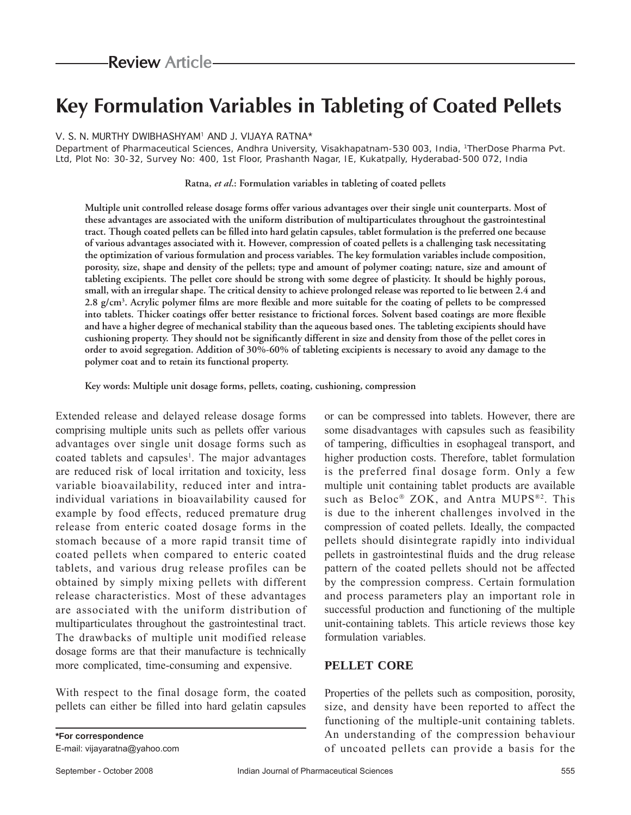# **Key Formulation Variables in Tableting of Coated Pellets**

V. S. N. MURTHY DWIBHASHYAM1 AND J. VIJAYA RATNA\*

Department of Pharmaceutical Sciences, Andhra University, Visakhapatnam-530 003, India, 1TherDose Pharma Pvt. Ltd, Plot No: 30-32, Survey No: 400, 1st Floor, Prashanth Nagar, IE, Kukatpally, Hyderabad-500 072, India

**Ratna,** *et al***.: Formulation variables in tableting of coated pellets**

**Multiple unit controlled release dosage forms offer various advantages over their single unit counterparts. Most of these advantages are associated with the uniform distribution of multiparticulates throughout the gastrointestinal**  tract. Though coated pellets can be filled into hard gelatin capsules, tablet formulation is the preferred one because **of various advantages associated with it. However, compression of coated pellets is a challenging task necessitating the optimization of various formulation and process variables. The key formulation variables include composition, porosity, size, shape and density of the pellets; type and amount of polymer coating; nature, size and amount of tableting excipients. The pellet core should be strong with some degree of plasticity. It should be highly porous, small, with an irregular shape. The critical density to achieve prolonged release was reported to lie between 2.4 and**  2.8 g/cm<sup>3</sup>. Acrylic polymer films are more flexible and more suitable for the coating of pellets to be compressed into tablets. Thicker coatings offer better resistance to frictional forces. Solvent based coatings are more flexible **and have a higher degree of mechanical stability than the aqueous based ones. The tableting excipients should have**  cushioning property. They should not be significantly different in size and density from those of the pellet cores in **order to avoid segregation. Addition of 30%-60% of tableting excipients is necessary to avoid any damage to the polymer coat and to retain its functional property.**

**Key words: Multiple unit dosage forms, pellets, coating, cushioning, compression**

Extended release and delayed release dosage forms comprising multiple units such as pellets offer various advantages over single unit dosage forms such as coated tablets and capsules<sup>1</sup>. The major advantages are reduced risk of local irritation and toxicity, less variable bioavailability, reduced inter and intraindividual variations in bioavailability caused for example by food effects, reduced premature drug release from enteric coated dosage forms in the stomach because of a more rapid transit time of coated pellets when compared to enteric coated tablets, and various drug release profiles can be obtained by simply mixing pellets with different release characteristics. Most of these advantages are associated with the uniform distribution of multiparticulates throughout the gastrointestinal tract. The drawbacks of multiple unit modified release dosage forms are that their manufacture is technically more complicated, time-consuming and expensive.

With respect to the final dosage form, the coated pellets can either be filled into hard gelatin capsules

or can be compressed into tablets. However, there are some disadvantages with capsules such as feasibility of tampering, difficulties in esophageal transport, and higher production costs. Therefore, tablet formulation is the preferred final dosage form. Only a few multiple unit containing tablet products are available such as Beloc® ZOK, and Antra MUPS®2. This is due to the inherent challenges involved in the compression of coated pellets. Ideally, the compacted pellets should disintegrate rapidly into individual pellets in gastrointestinal fluids and the drug release pattern of the coated pellets should not be affected by the compression compress. Certain formulation and process parameters play an important role in successful production and functioning of the multiple unit-containing tablets. This article reviews those key formulation variables.

#### **PELLET CORE**

Properties of the pellets such as composition, porosity, size, and density have been reported to affect the functioning of the multiple-unit containing tablets. An understanding of the compression behaviour of uncoated pellets can provide a basis for the

E-mail: vijayaratna@yahoo.com

**\*For correspondence**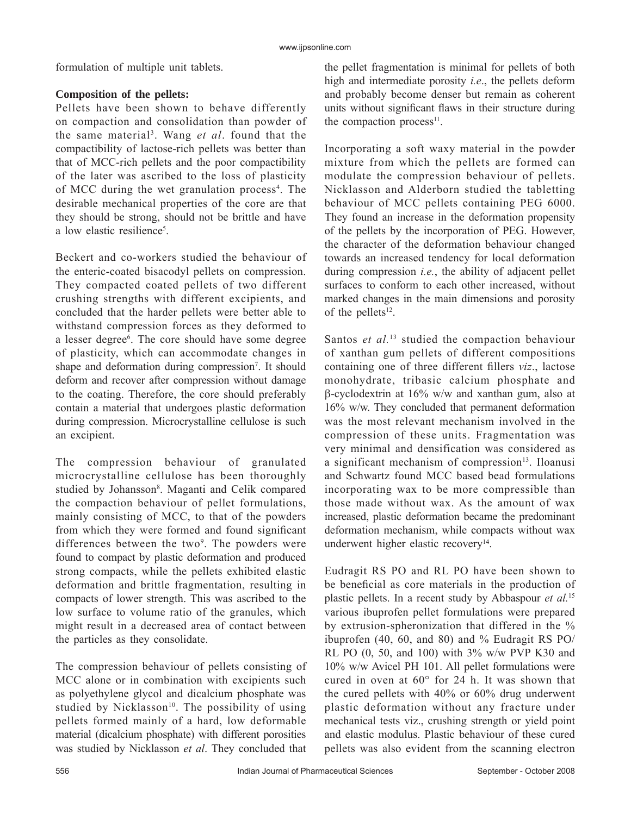formulation of multiple unit tablets.

## **Composition of the pellets:**

Pellets have been shown to behave differently on compaction and consolidation than powder of the same material3 . Wang *et al*. found that the compactibility of lactose-rich pellets was better than that of MCC-rich pellets and the poor compactibility of the later was ascribed to the loss of plasticity of MCC during the wet granulation process<sup>4</sup>. The desirable mechanical properties of the core are that they should be strong, should not be brittle and have a low elastic resilience<sup>5</sup>.

Beckert and co-workers studied the behaviour of the enteric-coated bisacodyl pellets on compression. They compacted coated pellets of two different crushing strengths with different excipients, and concluded that the harder pellets were better able to withstand compression forces as they deformed to a lesser degree<sup>6</sup>. The core should have some degree of plasticity, which can accommodate changes in shape and deformation during compression<sup>7</sup>. It should deform and recover after compression without damage to the coating. Therefore, the core should preferably contain a material that undergoes plastic deformation during compression. Microcrystalline cellulose is such an excipient.

The compression behaviour of granulated microcrystalline cellulose has been thoroughly studied by Johansson<sup>8</sup>. Maganti and Celik compared the compaction behaviour of pellet formulations, mainly consisting of MCC, to that of the powders from which they were formed and found significant differences between the two<sup>9</sup>. The powders were found to compact by plastic deformation and produced strong compacts, while the pellets exhibited elastic deformation and brittle fragmentation, resulting in compacts of lower strength. This was ascribed to the low surface to volume ratio of the granules, which might result in a decreased area of contact between the particles as they consolidate.

The compression behaviour of pellets consisting of MCC alone or in combination with excipients such as polyethylene glycol and dicalcium phosphate was studied by Nicklasson<sup>10</sup>. The possibility of using pellets formed mainly of a hard, low deformable material (dicalcium phosphate) with different porosities was studied by Nicklasson *et al*. They concluded that

the pellet fragmentation is minimal for pellets of both high and intermediate porosity *i.e*., the pellets deform and probably become denser but remain as coherent units without significant flaws in their structure during the compaction process $11$ .

Incorporating a soft waxy material in the powder mixture from which the pellets are formed can modulate the compression behaviour of pellets. Nicklasson and Alderborn studied the tabletting behaviour of MCC pellets containing PEG 6000. They found an increase in the deformation propensity of the pellets by the incorporation of PEG. However, the character of the deformation behaviour changed towards an increased tendency for local deformation during compression *i.e.*, the ability of adjacent pellet surfaces to conform to each other increased, without marked changes in the main dimensions and porosity of the pellets $12$ .

Santos *et al.*<sup>13</sup> studied the compaction behaviour of xanthan gum pellets of different compositions containing one of three different fillers *viz*., lactose monohydrate, tribasic calcium phosphate and  $\beta$ -cyclodextrin at 16% w/w and xanthan gum, also at 16% w/w. They concluded that permanent deformation was the most relevant mechanism involved in the compression of these units. Fragmentation was very minimal and densification was considered as a significant mechanism of compression $13$ . Iloanusi and Schwartz found MCC based bead formulations incorporating wax to be more compressible than those made without wax. As the amount of wax increased, plastic deformation became the predominant deformation mechanism, while compacts without wax underwent higher elastic recovery<sup>14</sup>.

Eudragit RS PO and RL PO have been shown to be beneficial as core materials in the production of plastic pellets. In a recent study by Abbaspour *et al.*<sup>15</sup> various ibuprofen pellet formulations were prepared by extrusion-spheronization that differed in the % ibuprofen (40, 60, and 80) and % Eudragit RS PO/ RL PO (0, 50, and 100) with 3% w/w PVP K30 and 10% w/w Avicel PH 101. All pellet formulations were cured in oven at 60° for 24 h. It was shown that the cured pellets with 40% or 60% drug underwent plastic deformation without any fracture under mechanical tests viz., crushing strength or yield point and elastic modulus. Plastic behaviour of these cured pellets was also evident from the scanning electron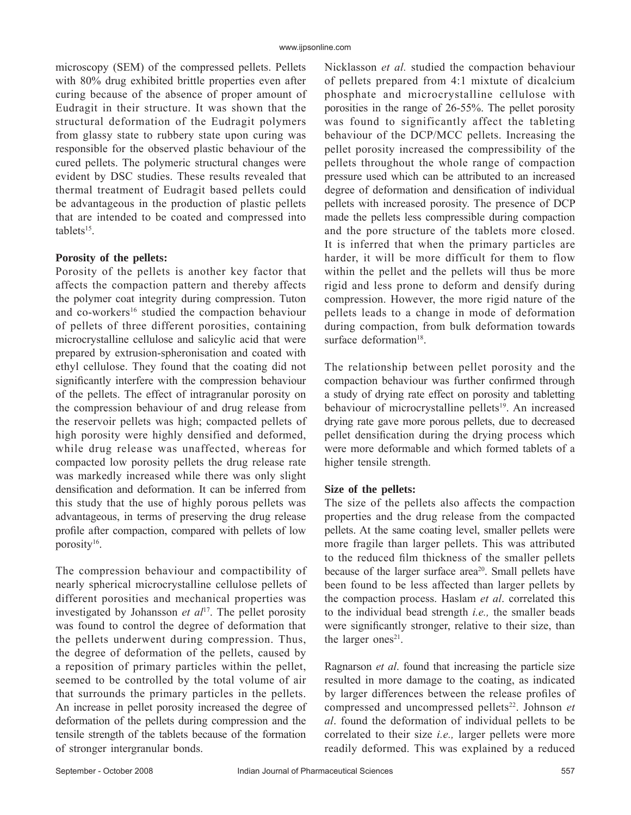microscopy (SEM) of the compressed pellets. Pellets with 80% drug exhibited brittle properties even after curing because of the absence of proper amount of Eudragit in their structure. It was shown that the structural deformation of the Eudragit polymers from glassy state to rubbery state upon curing was responsible for the observed plastic behaviour of the cured pellets. The polymeric structural changes were evident by DSC studies. These results revealed that thermal treatment of Eudragit based pellets could be advantageous in the production of plastic pellets that are intended to be coated and compressed into tablets<sup>15</sup>.

#### **Porosity of the pellets:**

Porosity of the pellets is another key factor that affects the compaction pattern and thereby affects the polymer coat integrity during compression. Tuton and co-workers<sup>16</sup> studied the compaction behaviour of pellets of three different porosities, containing microcrystalline cellulose and salicylic acid that were prepared by extrusion-spheronisation and coated with ethyl cellulose. They found that the coating did not significantly interfere with the compression behaviour of the pellets. The effect of intragranular porosity on the compression behaviour of and drug release from the reservoir pellets was high; compacted pellets of high porosity were highly densified and deformed, while drug release was unaffected, whereas for compacted low porosity pellets the drug release rate was markedly increased while there was only slight densification and deformation. It can be inferred from this study that the use of highly porous pellets was advantageous, in terms of preserving the drug release profile after compaction, compared with pellets of low porosity<sup>16</sup>.

The compression behaviour and compactibility of nearly spherical microcrystalline cellulose pellets of different porosities and mechanical properties was investigated by Johansson *et al*<sup>17</sup>. The pellet porosity was found to control the degree of deformation that the pellets underwent during compression. Thus, the degree of deformation of the pellets, caused by a reposition of primary particles within the pellet, seemed to be controlled by the total volume of air that surrounds the primary particles in the pellets. An increase in pellet porosity increased the degree of deformation of the pellets during compression and the tensile strength of the tablets because of the formation of stronger intergranular bonds.

Nicklasson *et al.* studied the compaction behaviour of pellets prepared from 4:1 mixtute of dicalcium phosphate and microcrystalline cellulose with porosities in the range of 26-55%. The pellet porosity was found to significantly affect the tableting behaviour of the DCP/MCC pellets. Increasing the pellet porosity increased the compressibility of the pellets throughout the whole range of compaction pressure used which can be attributed to an increased degree of deformation and densification of individual pellets with increased porosity. The presence of DCP made the pellets less compressible during compaction and the pore structure of the tablets more closed. It is inferred that when the primary particles are harder, it will be more difficult for them to flow within the pellet and the pellets will thus be more rigid and less prone to deform and densify during compression. However, the more rigid nature of the pellets leads to a change in mode of deformation during compaction, from bulk deformation towards surface deformation<sup>18</sup>.

The relationship between pellet porosity and the compaction behaviour was further confirmed through a study of drying rate effect on porosity and tabletting behaviour of microcrystalline pellets<sup>19</sup>. An increased drying rate gave more porous pellets, due to decreased pellet densification during the drying process which were more deformable and which formed tablets of a higher tensile strength.

## **Size of the pellets:**

The size of the pellets also affects the compaction properties and the drug release from the compacted pellets. At the same coating level, smaller pellets were more fragile than larger pellets. This was attributed to the reduced film thickness of the smaller pellets because of the larger surface area<sup>20</sup>. Small pellets have been found to be less affected than larger pellets by the compaction process. Haslam *et al*. correlated this to the individual bead strength *i.e.,* the smaller beads were significantly stronger, relative to their size, than the larger ones<sup>21</sup>.

Ragnarson *et al*. found that increasing the particle size resulted in more damage to the coating, as indicated by larger differences between the release profiles of compressed and uncompressed pellets<sup>22</sup>. Johnson *et al*. found the deformation of individual pellets to be correlated to their size *i.e.,* larger pellets were more readily deformed. This was explained by a reduced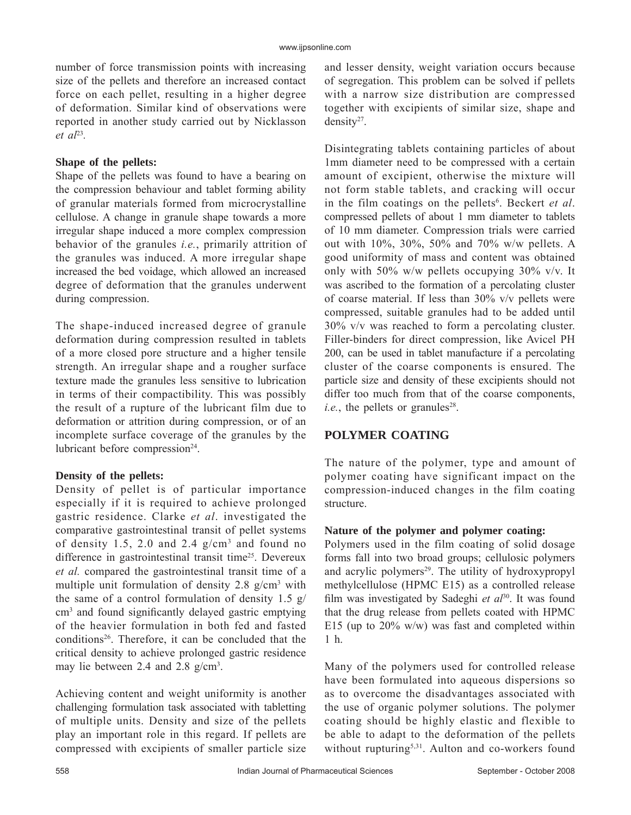number of force transmission points with increasing size of the pellets and therefore an increased contact force on each pellet, resulting in a higher degree of deformation. Similar kind of observations were reported in another study carried out by Nicklasson *et al*<sup>23</sup>*.* 

#### **Shape of the pellets:**

Shape of the pellets was found to have a bearing on the compression behaviour and tablet forming ability of granular materials formed from microcrystalline cellulose. A change in granule shape towards a more irregular shape induced a more complex compression behavior of the granules *i.e.*, primarily attrition of the granules was induced. A more irregular shape increased the bed voidage, which allowed an increased degree of deformation that the granules underwent during compression.

The shape-induced increased degree of granule deformation during compression resulted in tablets of a more closed pore structure and a higher tensile strength. An irregular shape and a rougher surface texture made the granules less sensitive to lubrication in terms of their compactibility. This was possibly the result of a rupture of the lubricant film due to deformation or attrition during compression, or of an incomplete surface coverage of the granules by the lubricant before compression $24$ .

## **Density of the pellets:**

Density of pellet is of particular importance especially if it is required to achieve prolonged gastric residence. Clarke *et al*. investigated the comparative gastrointestinal transit of pellet systems of density 1.5, 2.0 and 2.4  $g/cm^3$  and found no difference in gastrointestinal transit time<sup>25</sup>. Devereux *et al.* compared the gastrointestinal transit time of a multiple unit formulation of density  $2.8 \text{ g/cm}^3$  with the same of a control formulation of density 1.5 g/ cm<sup>3</sup> and found significantly delayed gastric emptying of the heavier formulation in both fed and fasted conditions<sup>26</sup>. Therefore, it can be concluded that the critical density to achieve prolonged gastric residence may lie between 2.4 and 2.8 g/cm<sup>3</sup>.

Achieving content and weight uniformity is another challenging formulation task associated with tabletting of multiple units. Density and size of the pellets play an important role in this regard. If pellets are compressed with excipients of smaller particle size

and lesser density, weight variation occurs because of segregation. This problem can be solved if pellets with a narrow size distribution are compressed together with excipients of similar size, shape and density<sup>27</sup>.

Disintegrating tablets containing particles of about 1mm diameter need to be compressed with a certain amount of excipient, otherwise the mixture will not form stable tablets, and cracking will occur in the film coatings on the pellets<sup>6</sup>. Beckert *et al.* compressed pellets of about 1 mm diameter to tablets of 10 mm diameter. Compression trials were carried out with 10%, 30%, 50% and 70% w/w pellets. A good uniformity of mass and content was obtained only with 50% w/w pellets occupying 30% v/v. It was ascribed to the formation of a percolating cluster of coarse material. If less than 30% v/v pellets were compressed, suitable granules had to be added until 30% v/v was reached to form a percolating cluster. Filler-binders for direct compression, like Avicel PH 200, can be used in tablet manufacture if a percolating cluster of the coarse components is ensured. The particle size and density of these excipients should not differ too much from that of the coarse components,  $i.e.,$  the pellets or granules<sup>28</sup>.

## **POLYMER COATING**

The nature of the polymer, type and amount of polymer coating have significant impact on the compression-induced changes in the film coating structure.

## **Nature of the polymer and polymer coating:**

Polymers used in the film coating of solid dosage forms fall into two broad groups; cellulosic polymers and acrylic polymers $29$ . The utility of hydroxypropyl methylcellulose (HPMC E15) as a controlled release film was investigated by Sadeghi et al<sup>30</sup>. It was found that the drug release from pellets coated with HPMC E15 (up to  $20\%$  w/w) was fast and completed within 1 h.

Many of the polymers used for controlled release have been formulated into aqueous dispersions so as to overcome the disadvantages associated with the use of organic polymer solutions. The polymer coating should be highly elastic and flexible to be able to adapt to the deformation of the pellets without rupturing<sup>5,31</sup>. Aulton and co-workers found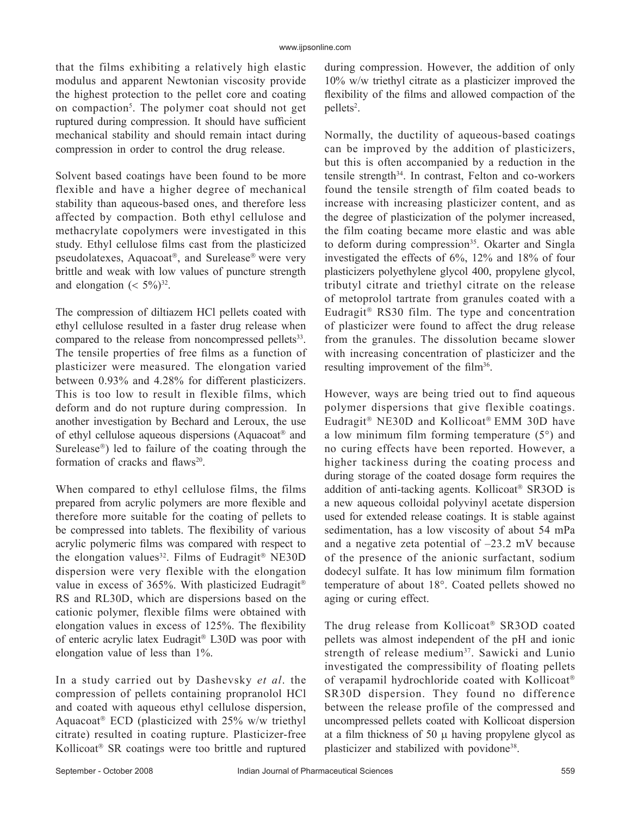that the films exhibiting a relatively high elastic modulus and apparent Newtonian viscosity provide the highest protection to the pellet core and coating on compaction<sup>5</sup>. The polymer coat should not get ruptured during compression. It should have sufficient mechanical stability and should remain intact during compression in order to control the drug release.

Solvent based coatings have been found to be more flexible and have a higher degree of mechanical stability than aqueous-based ones, and therefore less affected by compaction. Both ethyl cellulose and methacrylate copolymers were investigated in this study. Ethyl cellulose films cast from the plasticized pseudolatexes, Aquacoat<sup>®</sup>, and Surelease<sup>®</sup> were very brittle and weak with low values of puncture strength and elongation  $( $5\%$ )<sup>32</sup>$ .

The compression of diltiazem HCl pellets coated with ethyl cellulose resulted in a faster drug release when compared to the release from noncompressed pellets<sup>33</sup>. The tensile properties of free films as a function of plasticizer were measured. The elongation varied between 0.93% and 4.28% for different plasticizers. This is too low to result in flexible films, which deform and do not rupture during compression. In another investigation by Bechard and Leroux, the use of ethyl cellulose aqueous dispersions (Aquacoat<sup>®</sup> and Surelease<sup>®</sup>) led to failure of the coating through the formation of cracks and flaws<sup>20</sup>.

When compared to ethyl cellulose films, the films prepared from acrylic polymers are more flexible and therefore more suitable for the coating of pellets to be compressed into tablets. The flexibility of various acrylic polymeric films was compared with respect to the elongation values<sup>32</sup>. Films of Eudragit<sup>®</sup> NE30D dispersion were very flexible with the elongation value in excess of 365%. With plasticized Eudragit<sup>®</sup> RS and RL30D, which are dispersions based on the cationic polymer, flexible films were obtained with elongation values in excess of  $125%$ . The flexibility of enteric acrylic latex Eudragit® L30D was poor with elongation value of less than 1%.

In a study carried out by Dashevsky *et al*. the compression of pellets containing propranolol HCl and coated with aqueous ethyl cellulose dispersion, Aquacoat<sup>®</sup> ECD (plasticized with  $25\%$  w/w triethyl citrate) resulted in coating rupture. Plasticizer-free Kollicoat<sup>®</sup> SR coatings were too brittle and ruptured during compression. However, the addition of only 10% w/w triethyl citrate as a plasticizer improved the flexibility of the films and allowed compaction of the pellets<sup>2</sup>.

Normally, the ductility of aqueous-based coatings can be improved by the addition of plasticizers, but this is often accompanied by a reduction in the tensile strength34. In contrast, Felton and co-workers found the tensile strength of film coated beads to increase with increasing plasticizer content, and as the degree of plasticization of the polymer increased, the film coating became more elastic and was able to deform during compression<sup>35</sup>. Okarter and Singla investigated the effects of 6%, 12% and 18% of four plasticizers polyethylene glycol 400, propylene glycol, tributyl citrate and triethyl citrate on the release of metoprolol tartrate from granules coated with a Eudragit<sup>®</sup> RS30 film. The type and concentration of plasticizer were found to affect the drug release from the granules. The dissolution became slower with increasing concentration of plasticizer and the resulting improvement of the film<sup>36</sup>.

However, ways are being tried out to find aqueous polymer dispersions that give flexible coatings. Eudragit® NE30D and Kollicoat® EMM 30D have a low minimum film forming temperature  $(5^{\circ})$  and no curing effects have been reported. However, a higher tackiness during the coating process and during storage of the coated dosage form requires the addition of anti-tacking agents. Kollicoat<sup>®</sup> SR3OD is a new aqueous colloidal polyvinyl acetate dispersion used for extended release coatings. It is stable against sedimentation, has a low viscosity of about 54 mPa and a negative zeta potential of –23.2 mV because of the presence of the anionic surfactant, sodium dodecyl sulfate. It has low minimum film formation temperature of about 18°. Coated pellets showed no aging or curing effect.

The drug release from Kollicoat<sup>®</sup> SR3OD coated pellets was almost independent of the pH and ionic strength of release medium37. Sawicki and Lunio investigated the compressibility of floating pellets of verapamil hydrochloride coated with Kollicoat SR30D dispersion. They found no difference between the release profile of the compressed and uncompressed pellets coated with Kollicoat dispersion at a film thickness of 50  $\mu$  having propylene glycol as plasticizer and stabilized with povidone<sup>38</sup>.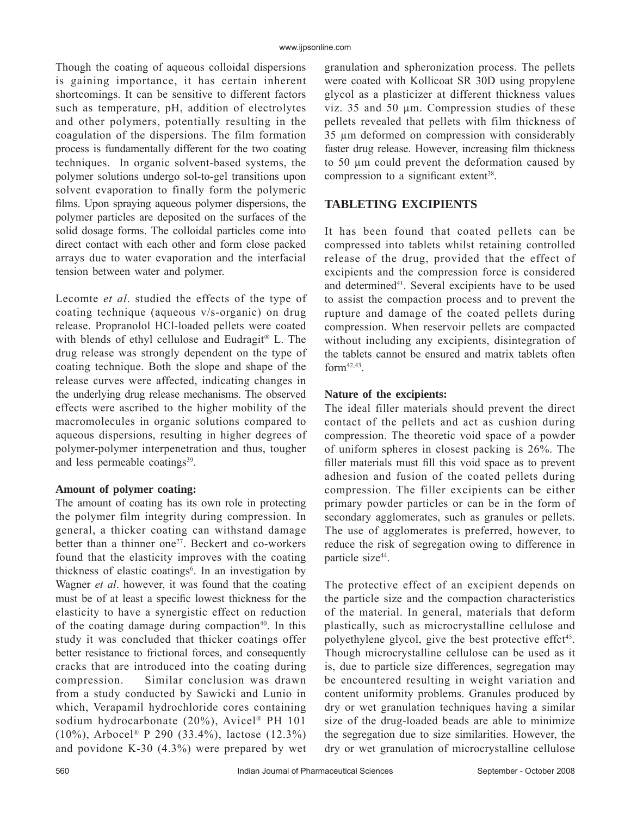Though the coating of aqueous colloidal dispersions is gaining importance, it has certain inherent shortcomings. It can be sensitive to different factors such as temperature, pH, addition of electrolytes and other polymers, potentially resulting in the coagulation of the dispersions. The film formation process is fundamentally different for the two coating techniques. In organic solvent-based systems, the polymer solutions undergo sol-to-gel transitions upon solvent evaporation to finally form the polymeric films. Upon spraying aqueous polymer dispersions, the polymer particles are deposited on the surfaces of the solid dosage forms. The colloidal particles come into direct contact with each other and form close packed arrays due to water evaporation and the interfacial tension between water and polymer.

Lecomte *et al*. studied the effects of the type of coating technique (aqueous v/s-organic) on drug release. Propranolol HCl-loaded pellets were coated with blends of ethyl cellulose and Eudragit<sup>®</sup> L. The drug release was strongly dependent on the type of coating technique. Both the slope and shape of the release curves were affected, indicating changes in the underlying drug release mechanisms. The observed effects were ascribed to the higher mobility of the macromolecules in organic solutions compared to aqueous dispersions, resulting in higher degrees of polymer-polymer interpenetration and thus, tougher and less permeable coatings<sup>39</sup>.

## **Amount of polymer coating:**

The amount of coating has its own role in protecting the polymer film integrity during compression. In general, a thicker coating can withstand damage better than a thinner one<sup>27</sup>. Beckert and co-workers found that the elasticity improves with the coating thickness of elastic coatings<sup>6</sup>. In an investigation by Wagner *et al*. however, it was found that the coating must be of at least a specific lowest thickness for the elasticity to have a synergistic effect on reduction of the coating damage during compaction<sup>40</sup>. In this study it was concluded that thicker coatings offer better resistance to frictional forces, and consequently cracks that are introduced into the coating during compression. Similar conclusion was drawn from a study conducted by Sawicki and Lunio in which, Verapamil hydrochloride cores containing sodium hydrocarbonate (20%), Avicel® PH 101 (10%), Arbocel® P 290 (33.4%), lactose (12.3%) and povidone K-30 (4.3%) were prepared by wet

granulation and spheronization process. The pellets were coated with Kollicoat SR 30D using propylene glycol as a plasticizer at different thickness values viz. 35 and 50 μm. Compression studies of these pellets revealed that pellets with film thickness of 35 μm deformed on compression with considerably faster drug release. However, increasing film thickness to 50 μm could prevent the deformation caused by compression to a significant extent<sup>38</sup>.

## **TABLETING EXCIPIENTS**

It has been found that coated pellets can be compressed into tablets whilst retaining controlled release of the drug, provided that the effect of excipients and the compression force is considered and determined<sup>41</sup>. Several excipients have to be used to assist the compaction process and to prevent the rupture and damage of the coated pellets during compression. When reservoir pellets are compacted without including any excipients, disintegration of the tablets cannot be ensured and matrix tablets often  $form<sup>42,43</sup>$ 

## **Nature of the excipients:**

The ideal filler materials should prevent the direct contact of the pellets and act as cushion during compression. The theoretic void space of a powder of uniform spheres in closest packing is 26%. The filler materials must fill this void space as to prevent adhesion and fusion of the coated pellets during compression. The filler excipients can be either primary powder particles or can be in the form of secondary agglomerates, such as granules or pellets. The use of agglomerates is preferred, however, to reduce the risk of segregation owing to difference in particle size<sup>44</sup>.

The protective effect of an excipient depends on the particle size and the compaction characteristics of the material. In general, materials that deform plastically, such as microcrystalline cellulose and polyethylene glycol, give the best protective effct<sup>45</sup>. Though microcrystalline cellulose can be used as it is, due to particle size differences, segregation may be encountered resulting in weight variation and content uniformity problems. Granules produced by dry or wet granulation techniques having a similar size of the drug-loaded beads are able to minimize the segregation due to size similarities. However, the dry or wet granulation of microcrystalline cellulose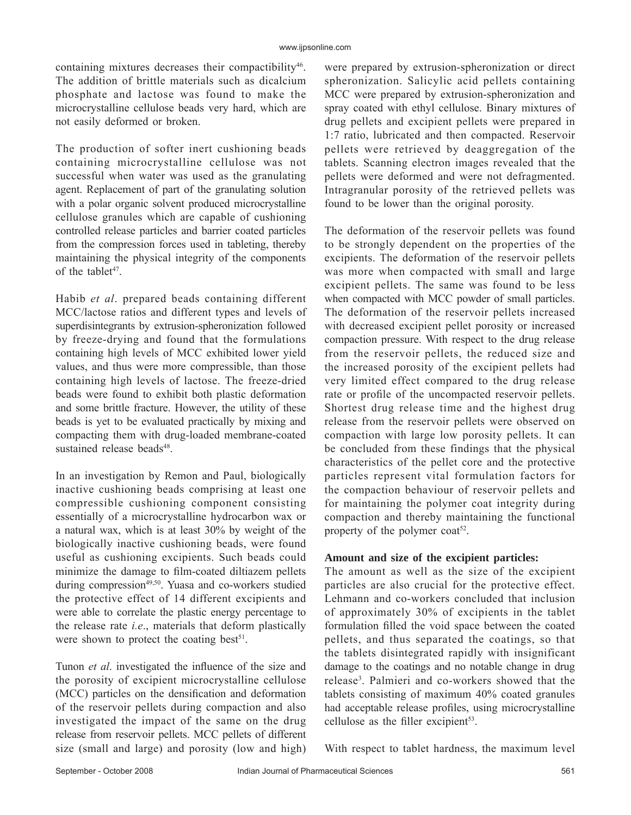containing mixtures decreases their compactibility<sup>46</sup>. The addition of brittle materials such as dicalcium phosphate and lactose was found to make the microcrystalline cellulose beads very hard, which are not easily deformed or broken.

The production of softer inert cushioning beads containing microcrystalline cellulose was not successful when water was used as the granulating agent. Replacement of part of the granulating solution with a polar organic solvent produced microcrystalline cellulose granules which are capable of cushioning controlled release particles and barrier coated particles from the compression forces used in tableting, thereby maintaining the physical integrity of the components of the tablet<sup>47</sup>.

Habib *et al*. prepared beads containing different MCC/lactose ratios and different types and levels of superdisintegrants by extrusion-spheronization followed by freeze-drying and found that the formulations containing high levels of MCC exhibited lower yield values, and thus were more compressible, than those containing high levels of lactose. The freeze-dried beads were found to exhibit both plastic deformation and some brittle fracture. However, the utility of these beads is yet to be evaluated practically by mixing and compacting them with drug-loaded membrane-coated sustained release beads<sup>48</sup>.

In an investigation by Remon and Paul, biologically inactive cushioning beads comprising at least one compressible cushioning component consisting essentially of a microcrystalline hydrocarbon wax or a natural wax, which is at least 30% by weight of the biologically inactive cushioning beads, were found useful as cushioning excipients. Such beads could minimize the damage to film-coated diltiazem pellets during compression<sup>49,50</sup>. Yuasa and co-workers studied the protective effect of 14 different excipients and were able to correlate the plastic energy percentage to the release rate *i.e*., materials that deform plastically were shown to protect the coating best<sup>51</sup>.

Tunon *et al.* investigated the influence of the size and the porosity of excipient microcrystalline cellulose (MCC) particles on the densification and deformation of the reservoir pellets during compaction and also investigated the impact of the same on the drug release from reservoir pellets. MCC pellets of different size (small and large) and porosity (low and high) were prepared by extrusion-spheronization or direct spheronization. Salicylic acid pellets containing MCC were prepared by extrusion-spheronization and spray coated with ethyl cellulose. Binary mixtures of drug pellets and excipient pellets were prepared in 1:7 ratio, lubricated and then compacted. Reservoir pellets were retrieved by deaggregation of the tablets. Scanning electron images revealed that the pellets were deformed and were not defragmented. Intragranular porosity of the retrieved pellets was found to be lower than the original porosity.

The deformation of the reservoir pellets was found to be strongly dependent on the properties of the excipients. The deformation of the reservoir pellets was more when compacted with small and large excipient pellets. The same was found to be less when compacted with MCC powder of small particles. The deformation of the reservoir pellets increased with decreased excipient pellet porosity or increased compaction pressure. With respect to the drug release from the reservoir pellets, the reduced size and the increased porosity of the excipient pellets had very limited effect compared to the drug release rate or profile of the uncompacted reservoir pellets. Shortest drug release time and the highest drug release from the reservoir pellets were observed on compaction with large low porosity pellets. It can be concluded from these findings that the physical characteristics of the pellet core and the protective particles represent vital formulation factors for the compaction behaviour of reservoir pellets and for maintaining the polymer coat integrity during compaction and thereby maintaining the functional property of the polymer coat<sup>52</sup>.

#### **Amount and size of the excipient particles:**

The amount as well as the size of the excipient particles are also crucial for the protective effect. Lehmann and co-workers concluded that inclusion of approximately 30% of excipients in the tablet formulation filled the void space between the coated pellets, and thus separated the coatings, so that the tablets disintegrated rapidly with insignificant damage to the coatings and no notable change in drug release3 . Palmieri and co-workers showed that the tablets consisting of maximum 40% coated granules had acceptable release profiles, using microcrystalline cellulose as the filler excipient<sup>53</sup>.

With respect to tablet hardness, the maximum level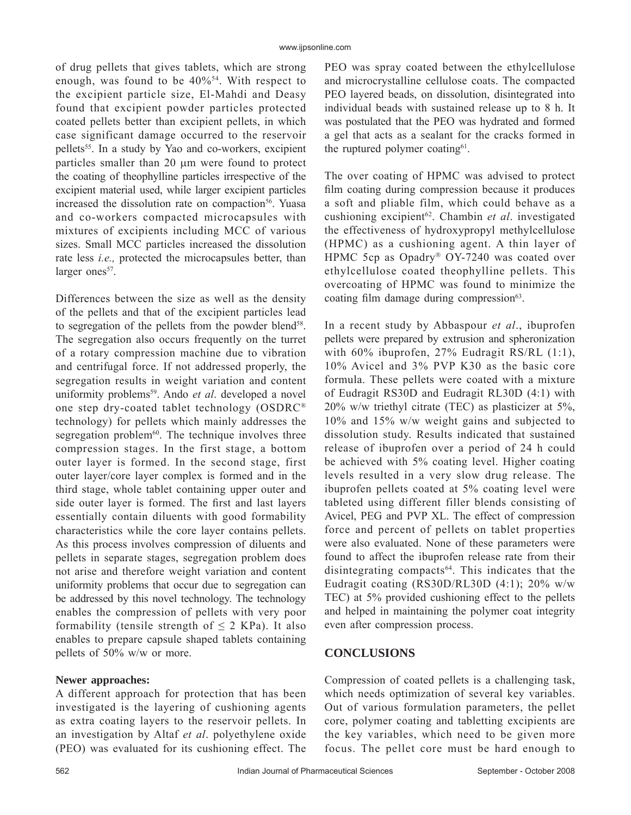of drug pellets that gives tablets, which are strong enough, was found to be  $40\%$ <sup>54</sup>. With respect to the excipient particle size, El-Mahdi and Deasy found that excipient powder particles protected coated pellets better than excipient pellets, in which case significant damage occurred to the reservoir pellets55. In a study by Yao and co-workers, excipient particles smaller than  $20 \mu m$  were found to protect the coating of theophylline particles irrespective of the excipient material used, while larger excipient particles increased the dissolution rate on compaction<sup>56</sup>. Yuasa and co-workers compacted microcapsules with mixtures of excipients including MCC of various sizes. Small MCC particles increased the dissolution rate less *i.e.,* protected the microcapsules better, than larger ones<sup>57</sup>.

Differences between the size as well as the density of the pellets and that of the excipient particles lead to segregation of the pellets from the powder blend<sup>58</sup>. The segregation also occurs frequently on the turret of a rotary compression machine due to vibration and centrifugal force. If not addressed properly, the segregation results in weight variation and content uniformity problems<sup>59</sup>. Ando *et al*. developed a novel one step dry-coated tablet technology (OSDRC® technology) for pellets which mainly addresses the segregation problem<sup>60</sup>. The technique involves three compression stages. In the first stage, a bottom outer layer is formed. In the second stage, first outer layer/core layer complex is formed and in the third stage, whole tablet containing upper outer and side outer layer is formed. The first and last layers essentially contain diluents with good formability characteristics while the core layer contains pellets. As this process involves compression of diluents and pellets in separate stages, segregation problem does not arise and therefore weight variation and content uniformity problems that occur due to segregation can be addressed by this novel technology. The technology enables the compression of pellets with very poor formability (tensile strength of  $\leq$  2 KPa). It also enables to prepare capsule shaped tablets containing pellets of 50% w/w or more.

#### **Newer approaches:**

A different approach for protection that has been investigated is the layering of cushioning agents as extra coating layers to the reservoir pellets. In an investigation by Altaf *et al*. polyethylene oxide (PEO) was evaluated for its cushioning effect. The PEO was spray coated between the ethylcellulose and microcrystalline cellulose coats. The compacted PEO layered beads, on dissolution, disintegrated into individual beads with sustained release up to 8 h. It was postulated that the PEO was hydrated and formed a gel that acts as a sealant for the cracks formed in the ruptured polymer coating<sup>61</sup>.

The over coating of HPMC was advised to protect film coating during compression because it produces a soft and pliable film, which could behave as a cushioning excipient<sup>62</sup>. Chambin *et al.* investigated the effectiveness of hydroxypropyl methylcellulose (HPMC) as a cushioning agent. A thin layer of HPMC 5cp as Opadry<sup>®</sup> OY-7240 was coated over ethylcellulose coated theophylline pellets. This overcoating of HPMC was found to minimize the coating film damage during compression<sup>63</sup>.

In a recent study by Abbaspour *et al*., ibuprofen pellets were prepared by extrusion and spheronization with 60% ibuprofen, 27% Eudragit RS/RL (1:1), 10% Avicel and 3% PVP K30 as the basic core formula. These pellets were coated with a mixture of Eudragit RS30D and Eudragit RL30D (4:1) with 20% w/w triethyl citrate (TEC) as plasticizer at 5%, 10% and 15% w/w weight gains and subjected to dissolution study. Results indicated that sustained release of ibuprofen over a period of 24 h could be achieved with 5% coating level. Higher coating levels resulted in a very slow drug release. The ibuprofen pellets coated at 5% coating level were tableted using different filler blends consisting of Avicel, PEG and PVP XL. The effect of compression force and percent of pellets on tablet properties were also evaluated. None of these parameters were found to affect the ibuprofen release rate from their disintegrating compacts<sup>64</sup>. This indicates that the Eudragit coating (RS30D/RL30D (4:1); 20% w/w TEC) at 5% provided cushioning effect to the pellets and helped in maintaining the polymer coat integrity even after compression process.

### **CONCLUSIONS**

Compression of coated pellets is a challenging task, which needs optimization of several key variables. Out of various formulation parameters, the pellet core, polymer coating and tabletting excipients are the key variables, which need to be given more focus. The pellet core must be hard enough to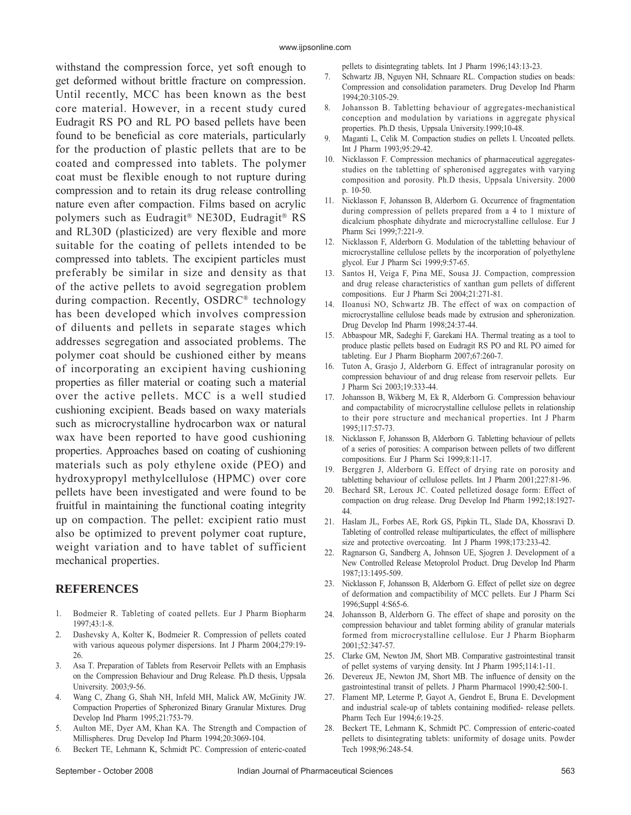withstand the compression force, yet soft enough to get deformed without brittle fracture on compression. Until recently, MCC has been known as the best core material. However, in a recent study cured Eudragit RS PO and RL PO based pellets have been found to be beneficial as core materials, particularly for the production of plastic pellets that are to be coated and compressed into tablets. The polymer coat must be flexible enough to not rupture during compression and to retain its drug release controlling nature even after compaction. Films based on acrylic polymers such as Eudragit® NE30D, Eudragit® RS and RL30D (plasticized) are very flexible and more suitable for the coating of pellets intended to be compressed into tablets. The excipient particles must preferably be similar in size and density as that of the active pellets to avoid segregation problem during compaction. Recently, OSDRC® technology has been developed which involves compression of diluents and pellets in separate stages which addresses segregation and associated problems. The polymer coat should be cushioned either by means of incorporating an excipient having cushioning properties as filler material or coating such a material over the active pellets. MCC is a well studied cushioning excipient. Beads based on waxy materials such as microcrystalline hydrocarbon wax or natural wax have been reported to have good cushioning properties. Approaches based on coating of cushioning materials such as poly ethylene oxide (PEO) and hydroxypropyl methylcellulose (HPMC) over core pellets have been investigated and were found to be fruitful in maintaining the functional coating integrity up on compaction. The pellet: excipient ratio must also be optimized to prevent polymer coat rupture, weight variation and to have tablet of sufficient mechanical properties.

#### **REFERENCES**

- 1. Bodmeier R. Tableting of coated pellets. Eur J Pharm Biopharm 1997;43:1-8.
- 2. Dashevsky A, Kolter K, Bodmeier R. Compression of pellets coated with various aqueous polymer dispersions. Int J Pharm 2004;279:19- 26.
- 3. Asa T. Preparation of Tablets from Reservoir Pellets with an Emphasis on the Compression Behaviour and Drug Release. Ph.D thesis, Uppsala University. 2003;9-56.
- 4. Wang C, Zhang G, Shah NH, Infeld MH, Malick AW, McGinity JW. Compaction Properties of Spheronized Binary Granular Mixtures. Drug Develop Ind Pharm 1995;21:753-79.
- 5. Aulton ME, Dyer AM, Khan KA. The Strength and Compaction of Millispheres. Drug Develop Ind Pharm 1994;20:3069-104.
- 6. Beckert TE, Lehmann K, Schmidt PC. Compression of enteric-coated
- 7. Schwartz JB, Nguyen NH, Schnaare RL. Compaction studies on beads: Compression and consolidation parameters. Drug Develop Ind Pharm 1994;20:3105-29.
- 8. Johansson B. Tabletting behaviour of aggregates-mechanistical conception and modulation by variations in aggregate physical properties. Ph.D thesis, Uppsala University.1999;10-48.
- 9. Maganti L, Celik M. Compaction studies on pellets I. Uncoated pellets. Int J Pharm 1993;95:29-42.
- 10. Nicklasson F. Compression mechanics of pharmaceutical aggregatesstudies on the tabletting of spheronised aggregates with varying composition and porosity. Ph.D thesis, Uppsala University. 2000 p. 10-50.
- 11. Nicklasson F, Johansson B, Alderborn G. Occurrence of fragmentation during compression of pellets prepared from a 4 to 1 mixture of dicalcium phosphate dihydrate and microcrystalline cellulose. Eur J Pharm Sci 1999;7:221-9.
- 12. Nicklasson F, Alderborn G. Modulation of the tabletting behaviour of microcrystalline cellulose pellets by the incorporation of polyethylene glycol. Eur J Pharm Sci 1999;9:57-65.
- 13. Santos H, Veiga F, Pina ME, Sousa JJ. Compaction, compression and drug release characteristics of xanthan gum pellets of different compositions. Eur J Pharm Sci 2004;21:271-81.
- 14. Iloanusi NO, Schwartz JB. The effect of wax on compaction of microcrystalline cellulose beads made by extrusion and spheronization. Drug Develop Ind Pharm 1998;24:37-44.
- 15. Abbaspour MR, Sadeghi F, Garekani HA. Thermal treating as a tool to produce plastic pellets based on Eudragit RS PO and RL PO aimed for tableting. Eur J Pharm Biopharm 2007;67:260-7.
- 16. Tuton A, Grasjo J, Alderborn G. Effect of intragranular porosity on compression behaviour of and drug release from reservoir pellets. Eur J Pharm Sci 2003;19:333-44.
- 17. Johansson B, Wikberg M, Ek R, Alderborn G. Compression behaviour and compactability of microcrystalline cellulose pellets in relationship to their pore structure and mechanical properties. Int J Pharm 1995;117:57-73.
- 18. Nicklasson F, Johansson B, Alderborn G. Tabletting behaviour of pellets of a series of porosities: A comparison between pellets of two different compositions. Eur J Pharm Sci 1999;8:11-17.
- 19. Berggren J, Alderborn G. Effect of drying rate on porosity and tabletting behaviour of cellulose pellets. Int J Pharm 2001;227:81-96.
- 20. Bechard SR, Leroux JC. Coated pelletized dosage form: Effect of compaction on drug release. Drug Develop Ind Pharm 1992;18:1927- 44.
- 21. Haslam JL, Forbes AE, Rork GS, Pipkin TL, Slade DA, Khossravi D. Tableting of controlled release multiparticulates, the effect of millisphere size and protective overcoating. Int J Pharm 1998;173:233-42.
- 22. Ragnarson G, Sandberg A, Johnson UE, Sjogren J. Development of a New Controlled Release Metoprolol Product. Drug Develop Ind Pharm 1987;13:1495-509.
- 23. Nicklasson F, Johansson B, Alderborn G. Effect of pellet size on degree of deformation and compactibility of MCC pellets. Eur J Pharm Sci 1996;Suppl 4:S65-6.
- 24. Johansson B, Alderborn G. The effect of shape and porosity on the compression behaviour and tablet forming ability of granular materials formed from microcrystalline cellulose. Eur J Pharm Biopharm 2001;52:347-57.
- 25. Clarke GM, Newton JM, Short MB. Comparative gastrointestinal transit of pellet systems of varying density. Int J Pharm 1995;114:1-11.
- 26. Devereux JE, Newton JM, Short MB. The influence of density on the gastrointestinal transit of pellets. J Pharm Pharmacol 1990;42:500-1.
- 27. Flament MP, Leterme P, Gayot A, Gendrot E, Bruna E. Development and industrial scale-up of tablets containing modified- release pellets. Pharm Tech Eur 1994;6:19-25.
- 28. Beckert TE, Lehmann K, Schmidt PC. Compression of enteric-coated pellets to disintegrating tablets: uniformity of dosage units. Powder Tech 1998;96:248-54.